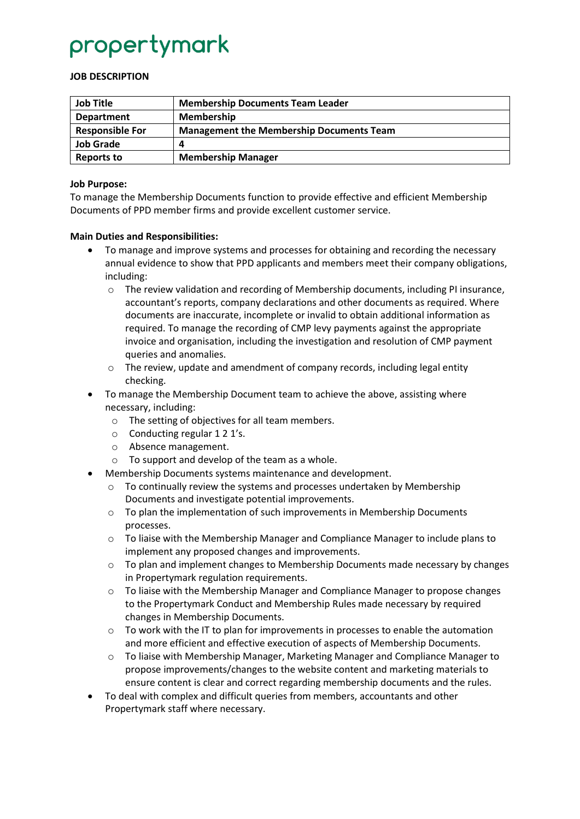# propertymark

### **JOB DESCRIPTION**

| <b>Job Title</b>       | <b>Membership Documents Team Leader</b>         |
|------------------------|-------------------------------------------------|
| <b>Department</b>      | <b>Membership</b>                               |
| <b>Responsible For</b> | <b>Management the Membership Documents Team</b> |
| <b>Job Grade</b>       |                                                 |
| <b>Reports to</b>      | <b>Membership Manager</b>                       |

#### **Job Purpose:**

To manage the Membership Documents function to provide effective and efficient Membership Documents of PPD member firms and provide excellent customer service.

### **Main Duties and Responsibilities:**

- To manage and improve systems and processes for obtaining and recording the necessary annual evidence to show that PPD applicants and members meet their company obligations, including:
	- $\circ$  The review validation and recording of Membership documents, including PI insurance, accountant's reports, company declarations and other documents as required. Where documents are inaccurate, incomplete or invalid to obtain additional information as required. To manage the recording of CMP levy payments against the appropriate invoice and organisation, including the investigation and resolution of CMP payment queries and anomalies.
	- $\circ$  The review, update and amendment of company records, including legal entity checking.
- To manage the Membership Document team to achieve the above, assisting where necessary, including:
	- o The setting of objectives for all team members.
	- o Conducting regular 1 2 1's.
	- o Absence management.
	- o To support and develop of the team as a whole.
- Membership Documents systems maintenance and development.
	- $\circ$  To continually review the systems and processes undertaken by Membership Documents and investigate potential improvements.
	- $\circ$  To plan the implementation of such improvements in Membership Documents processes.
	- $\circ$  To liaise with the Membership Manager and Compliance Manager to include plans to implement any proposed changes and improvements.
	- $\circ$  To plan and implement changes to Membership Documents made necessary by changes in Propertymark regulation requirements.
	- $\circ$  To liaise with the Membership Manager and Compliance Manager to propose changes to the Propertymark Conduct and Membership Rules made necessary by required changes in Membership Documents.
	- $\circ$  To work with the IT to plan for improvements in processes to enable the automation and more efficient and effective execution of aspects of Membership Documents.
	- $\circ$  To liaise with Membership Manager, Marketing Manager and Compliance Manager to propose improvements/changes to the website content and marketing materials to ensure content is clear and correct regarding membership documents and the rules.
- To deal with complex and difficult queries from members, accountants and other Propertymark staff where necessary.